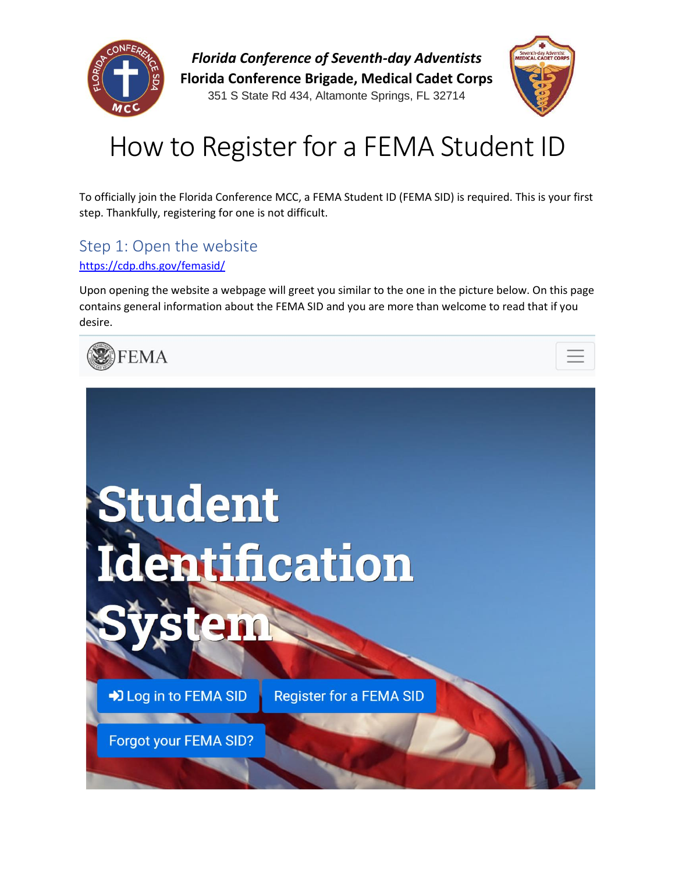

*Florida Conference of Seventh-day Adventists* **Florida Conference Brigade, Medical Cadet Corps**

351 S State Rd 434, Altamonte Springs, FL 32714



# How to Register for a FEMA Student ID

To officially join the Florida Conference MCC, a FEMA Student ID (FEMA SID) is required. This is your first step. Thankfully, registering for one is not difficult.

## Step 1: Open the website

### <https://cdp.dhs.gov/femasid/>

Upon opening the website a webpage will greet you similar to the one in the picture below. On this page contains general information about the FEMA SID and you are more than welcome to read that if you desire.



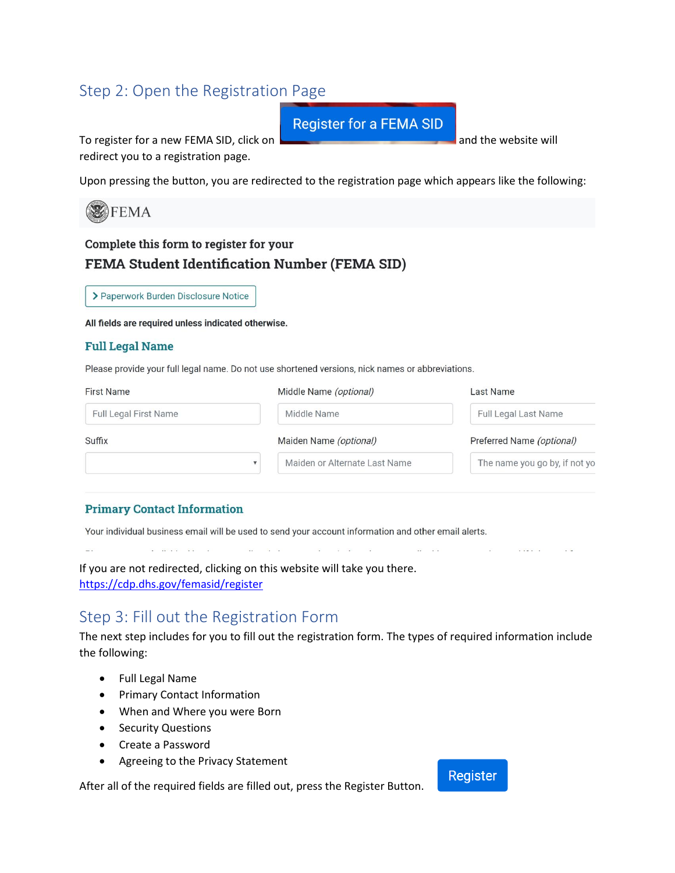## Step 2: Open the Registration Page

**Register for a FEMA SID** 

To register for a new FEMA SID, click on **and the website will** and the website will redirect you to a registration page.

Upon pressing the button, you are redirected to the registration page which appears like the following:



## Complete this form to register for your FEMA Student Identification Number (FEMA SID)

> Paperwork Burden Disclosure Notice

All fields are required unless indicated otherwise.

#### **Full Legal Name**

육장

Please provide your full legal name. Do not use shortened versions, nick names or abbreviations.

| <b>First Name</b>            | Middle Name (optional)        | <b>Last Name</b>              |
|------------------------------|-------------------------------|-------------------------------|
| <b>Full Legal First Name</b> | Middle Name                   | <b>Full Legal Last Name</b>   |
| Suffix                       | Maiden Name (optional)        | Preferred Name (optional)     |
|                              | Maiden or Alternate Last Name | The name you go by, if not yo |

#### **Primary Contact Information**

 $\label{eq:2.1} \mathcal{L} = \mathcal{R}(\mathcal{L}(\mathcal{L})) = \mathcal{L}(\mathcal{L}) = \mathcal{L}(\mathcal{L})$ 

Your individual business email will be used to send your account information and other email alerts.

If you are not redirected, clicking on this website will take you there. <https://cdp.dhs.gov/femasid/register>

 $\mathcal{H}^{\mathcal{G}}_{\mathbf{z}}$  ,  $\mathcal{H}^{\mathcal{G}}_{\mathbf{z}}$  ,  $\mathcal{H}^{\mathcal{G}}_{\mathbf{z}}$ 

## Step 3: Fill out the Registration Form

The next step includes for you to fill out the registration form. The types of required information include the following:

[편집] 2010년 1월 1일

- Full Legal Name
- Primary Contact Information
- When and Where you were Born
- Security Questions
- Create a Password
- Agreeing to the Privacy Statement

After all of the required fields are filled out, press the Register Button.

### **Register**

 $\overline{uv}$  and